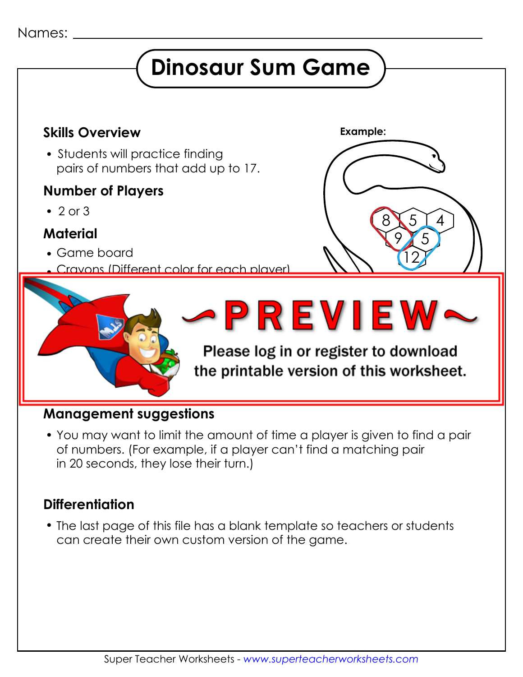### Names:

# **Dinosaur Sum Game**



#### **Management suggestions**

 You may want to limit the amount of time a player is given to find a pair of numbers. (For example, if a player can't find a matching pair in 20 seconds, they lose their turn.)

## **Differentiation**

 The last page of this file has a blank template so teachers or students can create their own custom version of the game.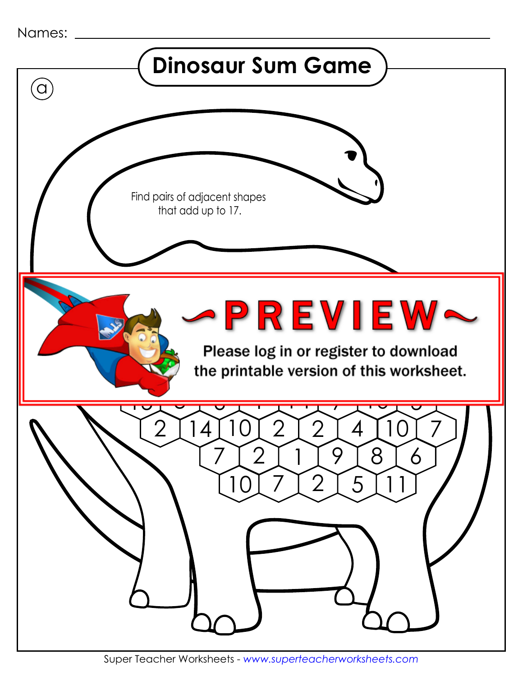| Names: |  |
|--------|--|
|--------|--|

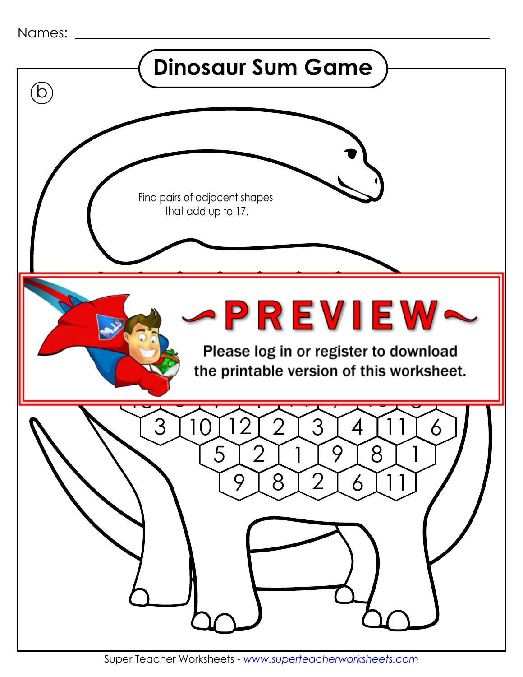| Names: |  |
|--------|--|
|--------|--|

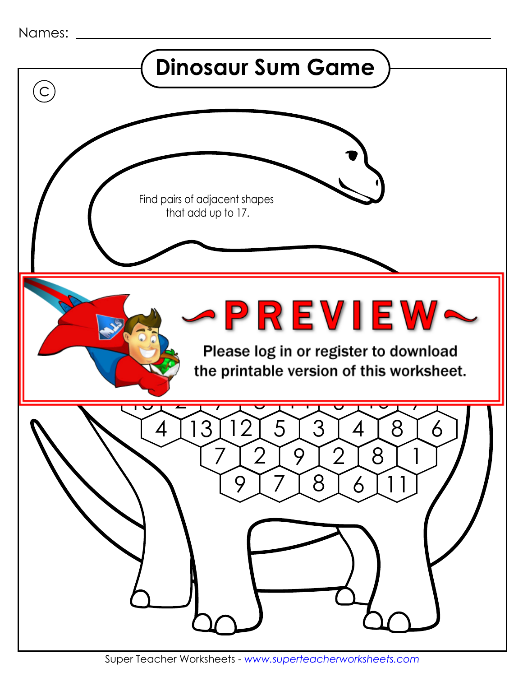| Names: |  |
|--------|--|
|--------|--|

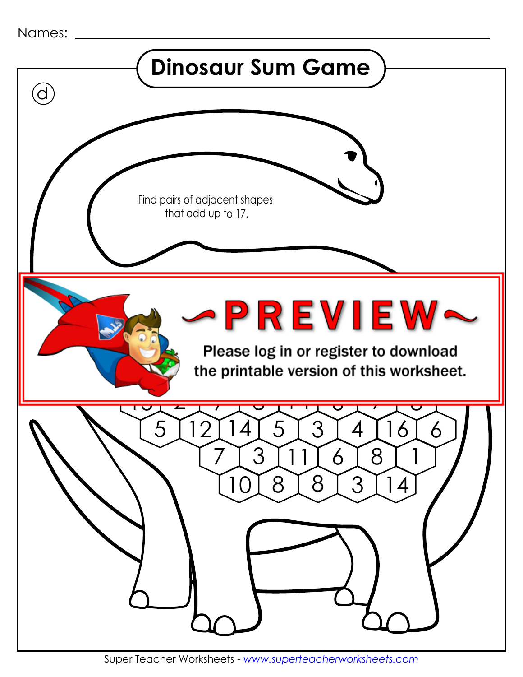| Names: |  |
|--------|--|
|--------|--|

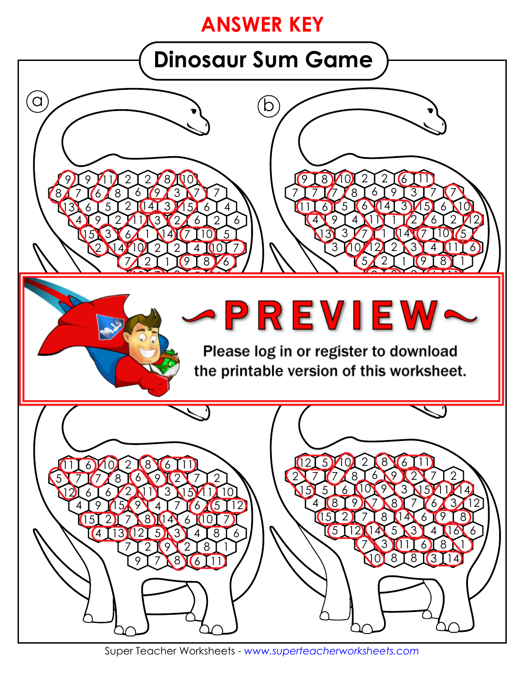# **ANSWER KEY**